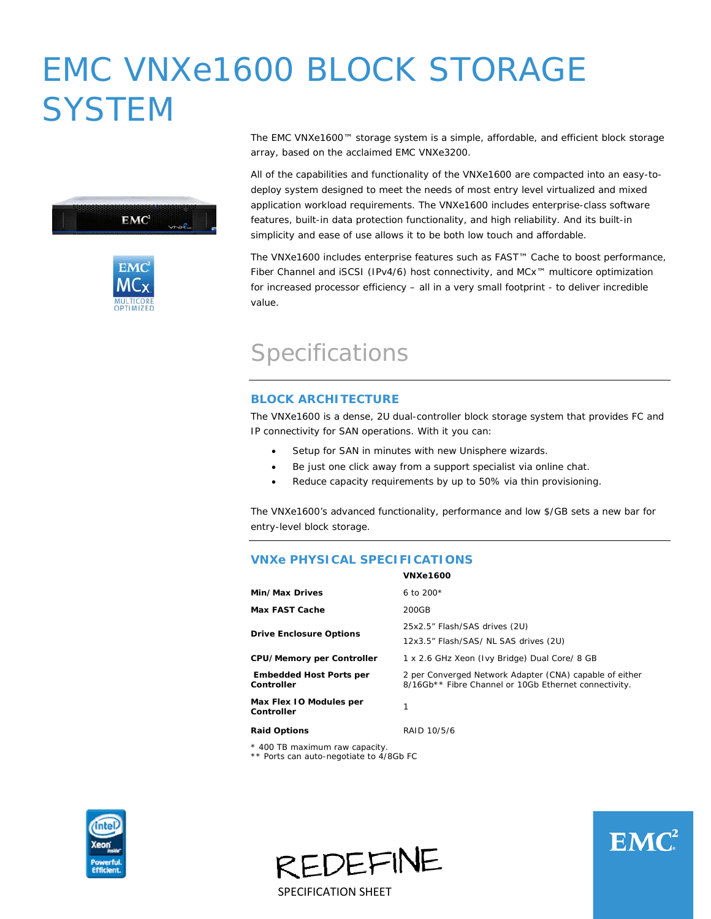# EMC VNXe1600 BLOCK STORAGE **SYSTEM**





The EMC VNXe1600™ storage system is a simple, affordable, and efficient block storage array, based on the acclaimed EMC VNXe3200.

All of the capabilities and functionality of the VNXe1600 are compacted into an easy-todeploy system designed to meet the needs of most entry level virtualized and mixed application workload requirements. The VNXe1600 includes enterprise-class software features, built-in data protection functionality, and high reliability. And its built-in simplicity and ease of use allows it to be both low touch and affordable.

The VNXe1600 includes enterprise features such as FAST™ Cache to boost performance, Fiber Channel and iSCSI (IPv4/6) host connectivity, and MCx™ multicore optimization for increased processor efficiency – all in a very small footprint - to deliver incredible value.

# Specifications

#### **BLOCK ARCHITECTURE**

The VNXe1600 is a dense, 2U dual-controller block storage system that provides FC and IP connectivity for SAN operations. With it you can:

- Setup for SAN in minutes with new Unisphere wizards.
- Be just one click away from a support specialist via online chat.
- Reduce capacity requirements by up to 50% via thin provisioning.

The VNXe1600's advanced functionality, performance and low \$/GB sets a new bar for entry-level block storage.

#### **VNXe PHYSICAL SPECIFICATIONS**

|                                              | <b>VNXe1600</b>                                                                                                  |
|----------------------------------------------|------------------------------------------------------------------------------------------------------------------|
| Min/Max Drives                               | 6 to $200*$                                                                                                      |
| <b>Max FAST Cache</b>                        | 200GB                                                                                                            |
| <b>Drive Enclosure Options</b>               | 25x2.5" Flash/SAS drives (2U)<br>12x3.5" Flash/SAS/ NL SAS drives (2U)                                           |
| <b>CPU/Memory per Controller</b>             | 1 x 2.6 GHz Xeon (Ivy Bridge) Dual Core/ 8 GB                                                                    |
| <b>Embedded Host Ports per</b><br>Controller | 2 per Converged Network Adapter (CNA) capable of either<br>8/16Gb** Fibre Channel or 10Gb Ethernet connectivity. |
| Max Flex 10 Modules per<br>Controller        |                                                                                                                  |
| <b>Raid Options</b>                          | RAID 10/5/6                                                                                                      |

\* 400 TB maximum raw capacity.

\*\* Ports can auto-negotiate to 4/8Gb FC





SPECIFICATION SHEET

REDEFINE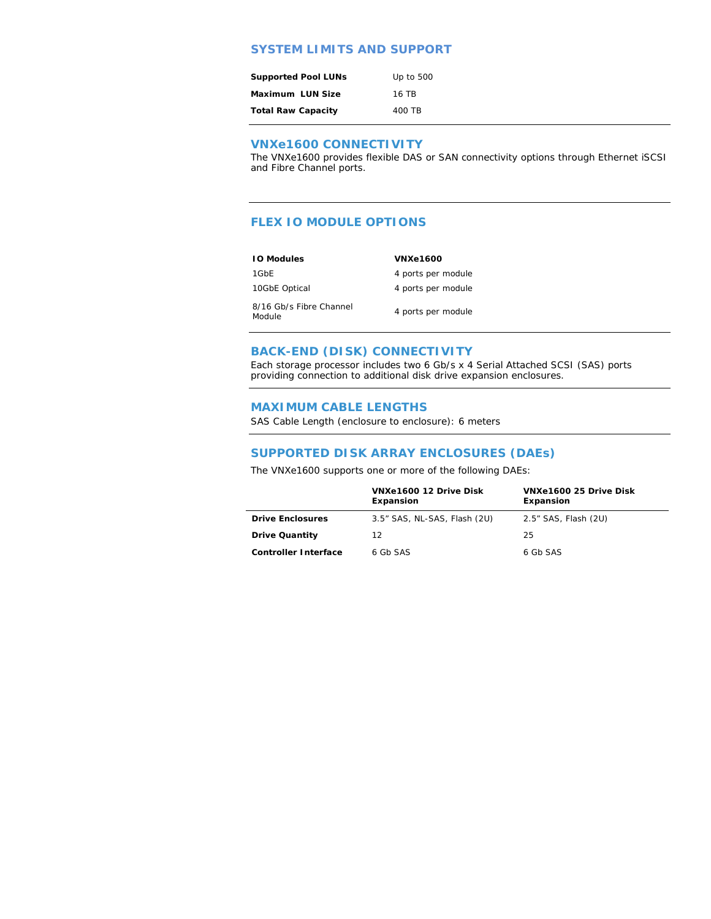#### **SYSTEM LIMITS AND SUPPORT**

| <b>Supported Pool LUNs</b> | Up to 500 |
|----------------------------|-----------|
| Maximum LUN Size           | 16 TR     |
| <b>Total Raw Capacity</b>  | 400 TB    |

#### **VNXe1600 CONNECTIVITY**

The VNXe1600 provides flexible DAS or SAN connectivity options through Ethernet iSCSI and Fibre Channel ports.

#### **FLEX IO MODULE OPTIONS**

| <b>10 Modules</b>                 | <b>VNXe1600</b>    |
|-----------------------------------|--------------------|
| 1GbE                              | 4 ports per module |
| 10GbE Optical                     | 4 ports per module |
| 8/16 Gb/s Fibre Channel<br>Module | 4 ports per module |

#### **BACK-END (DISK) CONNECTIVITY**

Each storage processor includes two 6 Gb/s x 4 Serial Attached SCSI (SAS) ports providing connection to additional disk drive expansion enclosures.

#### **MAXIMUM CABLE LENGTHS**

SAS Cable Length (enclosure to enclosure): 6 meters

#### **SUPPORTED DISK ARRAY ENCLOSURES (DAEs)**

The VNXe1600 supports one or more of the following DAEs:

|                             | VNXe1600 12 Drive Disk<br>Expansion | VNXe1600 25 Drive Disk<br>Expansion |
|-----------------------------|-------------------------------------|-------------------------------------|
| <b>Drive Enclosures</b>     | 3.5" SAS, NL-SAS, Flash (2U)        | 2.5" SAS, Flash (2U)                |
| <b>Drive Quantity</b>       | 12                                  | 25                                  |
| <b>Controller Interface</b> | 6 Gb SAS                            | 6 Gb SAS                            |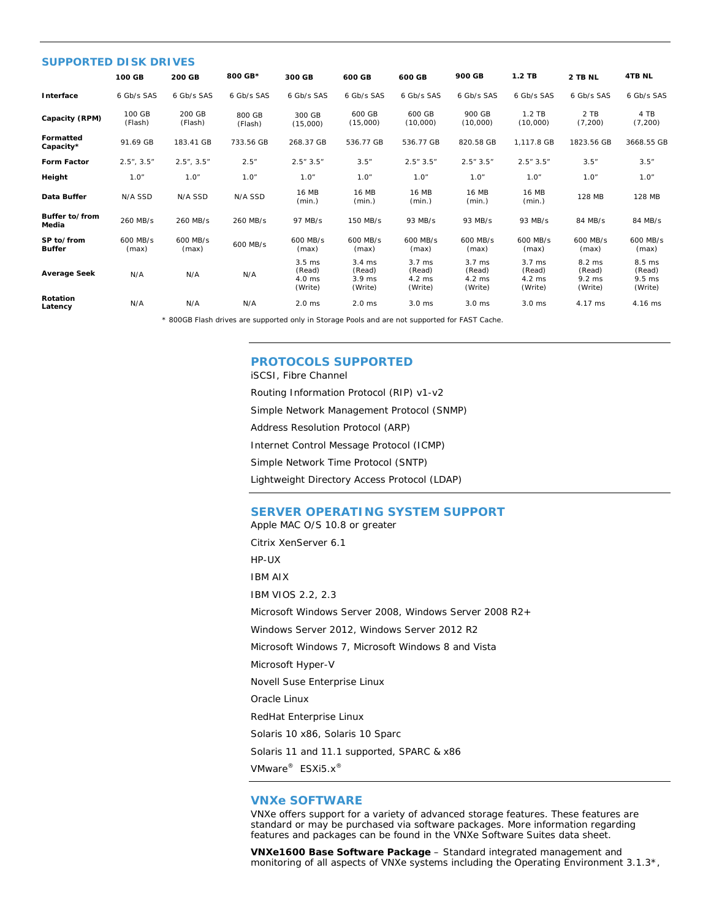| <b>SUPPORTED DISK DRIVES</b> |                   |                   |                   |                                           |                                                 |                                                 |                                                           |                                                   |                                                 |                                         |
|------------------------------|-------------------|-------------------|-------------------|-------------------------------------------|-------------------------------------------------|-------------------------------------------------|-----------------------------------------------------------|---------------------------------------------------|-------------------------------------------------|-----------------------------------------|
|                              | 100 GB            | 200 GB            | 800 GB*           | 300 GB                                    | 600 GB                                          | 600 GB                                          | 900 GB                                                    | $1.2$ TB                                          | 2 TB NL                                         | <b>4TB NL</b>                           |
| Interface                    | 6 Gb/s SAS        | 6 Gb/s SAS        | 6 Gb/s SAS        | 6 Gb/s SAS                                | 6 Gb/s SAS                                      | 6 Gb/s SAS                                      | 6 Gb/s SAS                                                | 6 Gb/s SAS                                        | 6 Gb/s SAS                                      | 6 Gb/s SAS                              |
| Capacity (RPM)               | 100 GB<br>(Flash) | 200 GB<br>(Flash) | 800 GB<br>(Flash) | 300 GB<br>(15,000)                        | 600 GB<br>(15,000)                              | 600 GB<br>(10,000)                              | 900 GB<br>(10,000)                                        | $1.2$ TB<br>(10.000)                              | 2 TB<br>(7, 200)                                | 4 TB<br>(7, 200)                        |
| Formatted<br>Capacity*       | 91.69 GB          | 183.41 GB         | 733.56 GB         | 268.37 GB                                 | 536.77 GB                                       | 536.77 GB                                       | 820.58 GB                                                 | 1.117.8 GB                                        | 1823.56 GB                                      | 3668.55 GB                              |
| <b>Form Factor</b>           | 2.5", 3.5"        | 2.5", 3.5"        | 2.5"              | 2.5"3.5"                                  | 3.5''                                           | 2.5"3.5"                                        | 2.5"3.5"                                                  | 2.5"3.5"                                          | 3.5''                                           | 3.5''                                   |
| Height                       | 1.0"              | 1.0"              | 1.0"              | 1.0"                                      | 1.0"                                            | 1.0"                                            | 1.0"                                                      | 1.0"                                              | 1.0"                                            | 1.0"                                    |
| Data Buffer                  | N/A SSD           | N/A SSD           | N/A SSD           | <b>16 MB</b><br>(min.)                    | <b>16 MB</b><br>(min.)                          | <b>16 MB</b><br>(min.)                          | <b>16 MB</b><br>(min.)                                    | <b>16 MB</b><br>(min.)                            | 128 MB                                          | 128 MB                                  |
| Buffer to/from<br>Media      | 260 MB/s          | 260 MB/s          | 260 MB/s          | 97 MB/s                                   | 150 MB/s                                        | 93 MB/s                                         | 93 MB/s                                                   | 93 MB/s                                           | 84 MB/s                                         | 84 MB/s                                 |
| SP to/from<br><b>Buffer</b>  | 600 MB/s<br>(max) | 600 MB/s<br>(max) | 600 MB/s          | 600 MB/s<br>(max)                         | 600 MB/s<br>(max)                               | 600 MB/s<br>(max)                               | 600 MB/s<br>(max)                                         | 600 MB/s<br>(max)                                 | 600 MB/s<br>(max)                               | 600 MB/s<br>(max)                       |
| <b>Average Seek</b>          | N/A               | N/A               | N/A               | $3.5$ ms<br>(Read)<br>$4.0$ ms<br>(Write) | $3.4 \text{ ms}$<br>(Read)<br>3.9 ms<br>(Write) | $3.7 \text{ ms}$<br>(Read)<br>4.2 ms<br>(Write) | $3.7 \text{ ms}$<br>(Read)<br>$4.2 \text{ ms}$<br>(Write) | $3.7 \text{ ms}$<br>(Read)<br>$4.2$ ms<br>(Write) | 8.2 ms<br>(Read)<br>$9.2 \text{ ms}$<br>(Write) | 8.5 ms<br>(Read)<br>$9.5$ ms<br>(Write) |
| Rotation<br>Latency          | N/A               | N/A               | N/A               | $2.0$ ms                                  | $2.0$ ms                                        | $3.0$ ms                                        | 3.0 <sub>ms</sub>                                         | 3.0 ms                                            | 4.17 ms                                         | 4.16 ms                                 |

\* 800GB Flash drives are supported only in Storage Pools and are not supported for FAST Cache.

#### **PROTOCOLS SUPPORTED**

iSCSI, Fibre Channel Routing Information Protocol (RIP) v1-v2 Simple Network Management Protocol (SNMP) Address Resolution Protocol (ARP) Internet Control Message Protocol (ICMP) Simple Network Time Protocol (SNTP) Lightweight Directory Access Protocol (LDAP)

#### **SERVER OPERATING SYSTEM SUPPORT**

Apple MAC O/S 10.8 or greater Citrix XenServer 6.1 HP-UX IBM AIX IBM VIOS 2.2, 2.3 Microsoft Windows Server 2008, Windows Server 2008 R2+ Windows Server 2012, Windows Server 2012 R2 Microsoft Windows 7, Microsoft Windows 8 and Vista Microsoft Hyper-V Novell Suse Enterprise Linux Oracle Linux RedHat Enterprise Linux Solaris 10 x86, Solaris 10 Sparc Solaris 11 and 11.1 supported, SPARC & x86 VMware® ESXi5.x®

#### **VNXe SOFTWARE**

VNXe offers support for a variety of advanced storage features. These features are standard or may be purchased via software packages. More information regarding features and packages can be found in the VNXe Software Suites data sheet.

**VNXe1600 Base Software Package** – Standard integrated management and monitoring of all aspects of VNXe systems including the Operating Environment 3.1.3<sup>\*</sup>,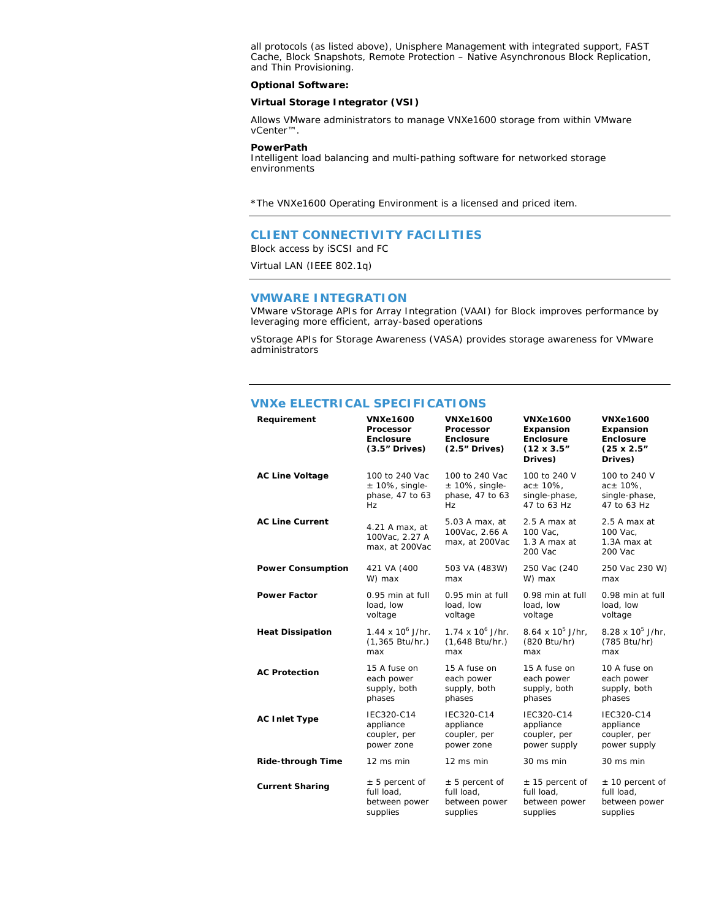all protocols (as listed above), Unisphere Management with integrated support, FAST Cache, Block Snapshots, Remote Protection – Native Asynchronous Block Replication, and Thin Provisioning.

#### **Optional Software:**

#### **Virtual Storage Integrator (VSI)**

Allows VMware administrators to manage VNXe1600 storage from within VMware vCenter™.

#### **PowerPath**

Intelligent load balancing and multi-pathing software for networked storage environments

\*The VNXe1600 Operating Environment is a licensed and priced item.

#### **CLIENT CONNECTIVITY FACILITIES**

Block access by iSCSI and FC

Virtual LAN (IEEE 802.1q)

#### **VMWARE INTEGRATION**

VMware vStorage APIs for Array Integration (VAAI) for Block improves performance by leveraging more efficient, array-based operations

vStorage APIs for Storage Awareness (VASA) provides storage awareness for VMware administrators

#### **VNXe ELECTRICAL SPECIFICATIONS**

| Requirement              | <b>VNXe1600</b><br>Processor<br>Enclosure<br>$(3.5"$ Drives) | <b>VNXe1600</b><br>Processor<br><b>Enclosure</b><br>$(2.5"$ Drives) | <b>VNXe1600</b><br><b>Expansion</b><br>Enclosure<br>$(12 \times 3.5)$<br>Drives) | <b>VNXe1600</b><br>Expansion<br><b>Enclosure</b><br>$(25 \times 2.5)$<br>Drives) |
|--------------------------|--------------------------------------------------------------|---------------------------------------------------------------------|----------------------------------------------------------------------------------|----------------------------------------------------------------------------------|
| <b>AC Line Voltage</b>   | 100 to 240 Vac                                               | 100 to 240 Vac                                                      | 100 to 240 V                                                                     | 100 to 240 V                                                                     |
|                          | $± 10\%$ , single-                                           | $± 10\%$ , single-                                                  | $ac \pm 10%$ ,                                                                   | $ac \pm 10\%$ ,                                                                  |
|                          | phase, 47 to 63                                              | phase, 47 to 63                                                     | single-phase,                                                                    | single-phase,                                                                    |
|                          | Hz.                                                          | Hz.                                                                 | 47 to 63 Hz                                                                      | 47 to 63 Hz                                                                      |
| <b>AC Line Current</b>   | 4.21 A max, at<br>100Vac, 2.27 A<br>max, at 200Vac           | 5.03 A max, at<br>100Vac, 2.66 A<br>max, at 200Vac                  | 2.5 A max at<br>100 Vac,<br>1.3 A max at<br>200 Vac                              | 2.5 A max at<br>100 Vac,<br>1.3A max at<br>200 Vac                               |
| <b>Power Consumption</b> | 421 VA (400                                                  | 503 VA (483W)                                                       | 250 Vac (240                                                                     | 250 Vac 230 W)                                                                   |
|                          | W) max                                                       | max                                                                 | W) max                                                                           | max                                                                              |
| <b>Power Factor</b>      | 0.95 min at full                                             | 0.95 min at full                                                    | 0.98 min at full                                                                 | 0.98 min at full                                                                 |
|                          | load, low                                                    | load, low                                                           | load, low                                                                        | load, low                                                                        |
|                          | voltage                                                      | voltage                                                             | voltage                                                                          | voltage                                                                          |
| <b>Heat Dissipation</b>  | $1.44 \times 10^6$ J/hr.                                     | $1.74 \times 10^6$ J/hr.                                            | 8.64 x $10^5$ J/hr,                                                              | 8.28 x $10^5$ J/hr,                                                              |
|                          | $(1,365 \text{ Btu/hr.})$                                    | $(1,648 \text{ Btu/hr.})$                                           | (820 Btu/hr)                                                                     | (785 Btu/hr)                                                                     |
|                          | max                                                          | max                                                                 | max                                                                              | max                                                                              |
| <b>AC Protection</b>     | 15 A fuse on                                                 | 15 A fuse on                                                        | 15 A fuse on                                                                     | 10 A fuse on                                                                     |
|                          | each power                                                   | each power                                                          | each power                                                                       | each power                                                                       |
|                          | supply, both                                                 | supply, both                                                        | supply, both                                                                     | supply, both                                                                     |
|                          | phases                                                       | phases                                                              | phases                                                                           | phases                                                                           |
| <b>AC Inlet Type</b>     | IEC320-C14                                                   | IEC320-C14                                                          | IEC320-C14                                                                       | IEC320-C14                                                                       |
|                          | appliance                                                    | appliance                                                           | appliance                                                                        | appliance                                                                        |
|                          | coupler, per                                                 | coupler, per                                                        | coupler, per                                                                     | coupler, per                                                                     |
|                          | power zone                                                   | power zone                                                          | power supply                                                                     | power supply                                                                     |
| <b>Ride-through Time</b> | 12 ms min                                                    | 12 ms min                                                           | 30 ms min                                                                        | 30 ms min                                                                        |
| <b>Current Sharing</b>   | $± 5$ percent of                                             | $± 5$ percent of                                                    | $± 15$ percent of                                                                | $± 10$ percent of                                                                |
|                          | full load,                                                   | full load,                                                          | full load,                                                                       | full load,                                                                       |
|                          | between power                                                | between power                                                       | between power                                                                    | between power                                                                    |
|                          | supplies                                                     | supplies                                                            | supplies                                                                         | supplies                                                                         |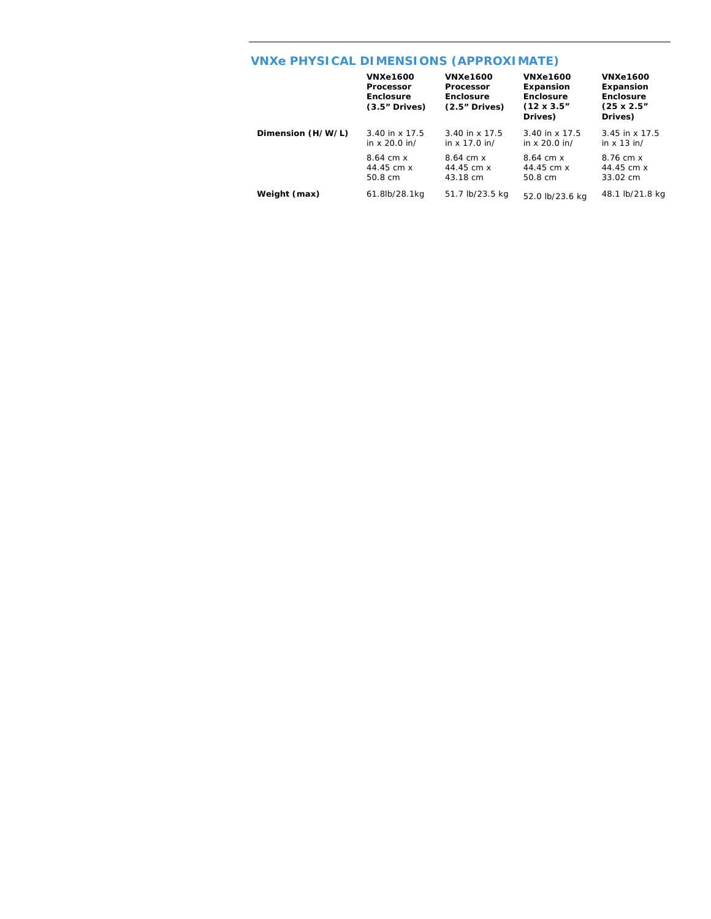## **VNXe PHYSICAL DIMENSIONS (APPROXIMATE)**

|                   | <b>VNXe1600</b><br>Processor<br>Enclosure<br>$(3.5"$ Drives) | <b>VNXe1600</b><br><b>Processor</b><br>Enclosure<br>$(2.5"$ Drives) | <b>VNXe1600</b><br>Expansion<br>Enclosure<br>$(12 \times 3.5)$<br>Drives) | <b>VNXe1600</b><br>Expansion<br>Enclosure<br>$(25 \times 2.5)$<br>Drives) |
|-------------------|--------------------------------------------------------------|---------------------------------------------------------------------|---------------------------------------------------------------------------|---------------------------------------------------------------------------|
| Dimension (H/W/L) | $3.40$ in x 17.5                                             | 3.40 in x 17.5                                                      | $3.40$ in x 17.5                                                          | $3.45$ in x 17.5                                                          |
|                   | in $x$ 20.0 in/                                              | in $x$ 17.0 in/                                                     | in $x$ 20.0 in/                                                           | in $x$ 13 in/                                                             |
|                   | $8.64$ cm $x$                                                | $8.64$ cm $x$                                                       | $8.64$ cm $x$                                                             | 8.76 cm x                                                                 |
|                   | 44.45 cm x                                                   | 44.45 cm x                                                          | 44.45 cm x                                                                | 44.45 cm x                                                                |
|                   | 50.8 cm                                                      | 43.18 cm                                                            | 50.8 cm                                                                   | $33.02 \text{ cm}$                                                        |
| Weight (max)      | 61.8lb/28.1kg                                                | 51.7 lb/23.5 kg                                                     | 52.0 lb/23.6 kg                                                           | 48.1 lb/21.8 kg                                                           |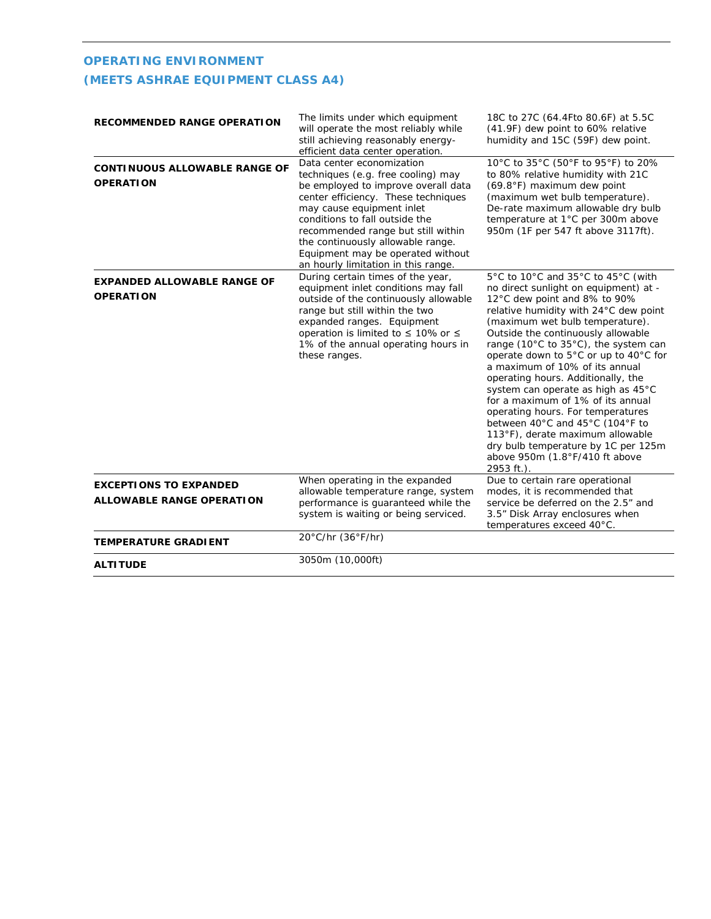### **OPERATING ENVIRONMENT (MEETS ASHRAE EQUIPMENT CLASS A4)**

| <b>RECOMMENDED RANGE OPERATION</b>                                | The limits under which equipment<br>will operate the most reliably while<br>still achieving reasonably energy-<br>efficient data center operation.                                                                                                                                                                                                                  | 18C to 27C (64.4Fto 80.6F) at 5.5C<br>(41.9F) dew point to 60% relative<br>humidity and 15C (59F) dew point.                                                                                                                                                                                                                                                                                                                                                                                                                                                                                                                                                         |  |
|-------------------------------------------------------------------|---------------------------------------------------------------------------------------------------------------------------------------------------------------------------------------------------------------------------------------------------------------------------------------------------------------------------------------------------------------------|----------------------------------------------------------------------------------------------------------------------------------------------------------------------------------------------------------------------------------------------------------------------------------------------------------------------------------------------------------------------------------------------------------------------------------------------------------------------------------------------------------------------------------------------------------------------------------------------------------------------------------------------------------------------|--|
| <b>CONTINUOUS ALLOWABLE RANGE OF</b><br><b>OPERATION</b>          | Data center economization<br>techniques (e.g. free cooling) may<br>be employed to improve overall data<br>center efficiency. These techniques<br>may cause equipment inlet<br>conditions to fall outside the<br>recommended range but still within<br>the continuously allowable range.<br>Equipment may be operated without<br>an hourly limitation in this range. | 10°C to 35°C (50°F to 95°F) to 20%<br>to 80% relative humidity with 21C<br>(69.8°F) maximum dew point<br>(maximum wet bulb temperature).<br>De-rate maximum allowable dry bulb<br>temperature at 1°C per 300m above<br>950m (1F per 547 ft above 3117ft).                                                                                                                                                                                                                                                                                                                                                                                                            |  |
| <b>EXPANDED ALLOWABLE RANGE OF</b><br><b>OPERATION</b>            | During certain times of the year,<br>equipment inlet conditions may fall<br>outside of the continuously allowable<br>range but still within the two<br>expanded ranges. Equipment<br>operation is limited to $\leq 10\%$ or $\leq$<br>1% of the annual operating hours in<br>these ranges.                                                                          | 5°C to 10°C and 35°C to 45°C (with<br>no direct sunlight on equipment) at -<br>12°C dew point and 8% to 90%<br>relative humidity with 24°C dew point<br>(maximum wet bulb temperature).<br>Outside the continuously allowable<br>range (10°C to 35°C), the system can<br>operate down to 5°C or up to 40°C for<br>a maximum of 10% of its annual<br>operating hours. Additionally, the<br>system can operate as high as 45°C<br>for a maximum of 1% of its annual<br>operating hours. For temperatures<br>between 40°C and 45°C (104°F to<br>113°F), derate maximum allowable<br>dry bulb temperature by 1C per 125m<br>above 950m (1.8°F/410 ft above<br>2953 ft.). |  |
| <b>EXCEPTIONS TO EXPANDED</b><br><b>ALLOWABLE RANGE OPERATION</b> | When operating in the expanded<br>allowable temperature range, system<br>performance is guaranteed while the<br>system is waiting or being serviced.                                                                                                                                                                                                                | Due to certain rare operational<br>modes, it is recommended that<br>service be deferred on the 2.5" and<br>3.5" Disk Array enclosures when<br>temperatures exceed 40°C.                                                                                                                                                                                                                                                                                                                                                                                                                                                                                              |  |
| <b>TEMPERATURE GRADIENT</b>                                       | 20°C/hr (36°F/hr)                                                                                                                                                                                                                                                                                                                                                   |                                                                                                                                                                                                                                                                                                                                                                                                                                                                                                                                                                                                                                                                      |  |
| <b>ALTITUDE</b>                                                   | 3050m (10,000ft)                                                                                                                                                                                                                                                                                                                                                    |                                                                                                                                                                                                                                                                                                                                                                                                                                                                                                                                                                                                                                                                      |  |